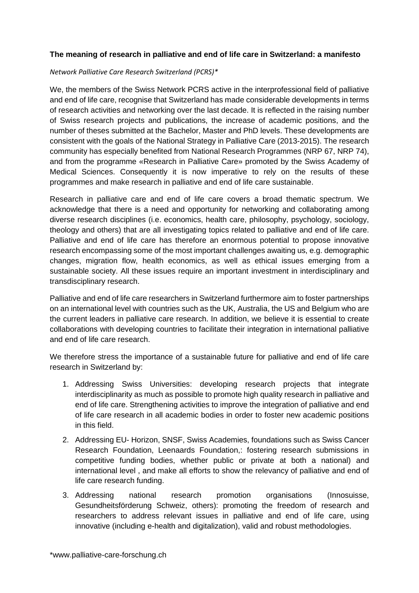## **The meaning of research in palliative and end of life care in Switzerland: a manifesto**

## *Network Palliative Care Research Switzerland (PCRS)\**

We, the members of the Swiss Network PCRS active in the interprofessional field of palliative and end of life care, recognise that Switzerland has made considerable developments in terms of research activities and networking over the last decade. It is reflected in the raising number of Swiss research projects and publications, the increase of academic positions, and the number of theses submitted at the Bachelor, Master and PhD levels. These developments are consistent with the goals of the National Strategy in Palliative Care (2013-2015). The research community has especially benefited from National Research Programmes (NRP 67, NRP 74), and from the programme «Research in Palliative Care» promoted by the Swiss Academy of Medical Sciences. Consequently it is now imperative to rely on the results of these programmes and make research in palliative and end of life care sustainable.

Research in palliative care and end of life care covers a broad thematic spectrum. We acknowledge that there is a need and opportunity for networking and collaborating among diverse research disciplines (i.e. economics, health care, philosophy, psychology, sociology, theology and others) that are all investigating topics related to palliative and end of life care. Palliative and end of life care has therefore an enormous potential to propose innovative research encompassing some of the most important challenges awaiting us, e.g. demographic changes, migration flow, health economics, as well as ethical issues emerging from a sustainable society. All these issues require an important investment in interdisciplinary and transdisciplinary research.

Palliative and end of life care researchers in Switzerland furthermore aim to foster partnerships on an international level with countries such as the UK, Australia, the US and Belgium who are the current leaders in palliative care research. In addition, we believe it is essential to create collaborations with developing countries to facilitate their integration in international palliative and end of life care research.

We therefore stress the importance of a sustainable future for palliative and end of life care research in Switzerland by:

- 1. Addressing Swiss Universities: developing research projects that integrate interdisciplinarity as much as possible to promote high quality research in palliative and end of life care. Strengthening activities to improve the integration of palliative and end of life care research in all academic bodies in order to foster new academic positions in this field.
- 2. Addressing EU- Horizon, SNSF, Swiss Academies, foundations such as Swiss Cancer Research Foundation, Leenaards Foundation,: fostering research submissions in competitive funding bodies, whether public or private at both a national) and international level , and make all efforts to show the relevancy of palliative and end of life care research funding.
- 3. Addressing national research promotion organisations (Innosuisse, Gesundheitsförderung Schweiz, others): promoting the freedom of research and researchers to address relevant issues in palliative and end of life care, using innovative (including e-health and digitalization), valid and robust methodologies.